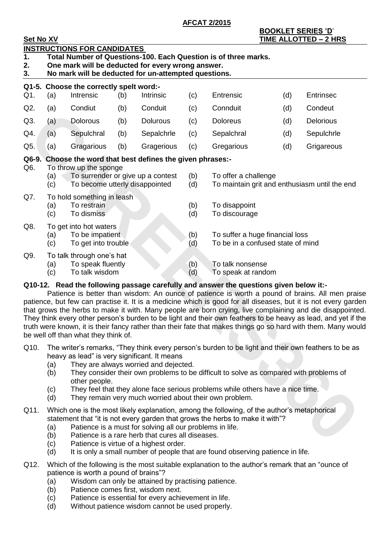**AFCAT 2/2015**

| <b>BOOKLET SERIES 'D'</b>    |  |
|------------------------------|--|
| <b>TIME ALLOTTED - 2 HRS</b> |  |

| <b>Set No XV</b> |                                                                                                                                                                                                                                                                                                                                                                                                                              |                                                                                               |     |                                                                                                           |            |                                                                                        |     | <b>TIME ALLOTTED - 2 HRS</b>                                                                                                                                                                                                                                                                                                                                                                                                                                                                                                                                     |
|------------------|------------------------------------------------------------------------------------------------------------------------------------------------------------------------------------------------------------------------------------------------------------------------------------------------------------------------------------------------------------------------------------------------------------------------------|-----------------------------------------------------------------------------------------------|-----|-----------------------------------------------------------------------------------------------------------|------------|----------------------------------------------------------------------------------------|-----|------------------------------------------------------------------------------------------------------------------------------------------------------------------------------------------------------------------------------------------------------------------------------------------------------------------------------------------------------------------------------------------------------------------------------------------------------------------------------------------------------------------------------------------------------------------|
| 1.<br>2.<br>3.   |                                                                                                                                                                                                                                                                                                                                                                                                                              | <b>INSTRUCTIONS FOR CANDIDATES</b>                                                            |     | One mark will be deducted for every wrong answer.<br>No mark will be deducted for un-attempted questions. |            | Total Number of Questions-100. Each Question is of three marks.                        |     |                                                                                                                                                                                                                                                                                                                                                                                                                                                                                                                                                                  |
|                  |                                                                                                                                                                                                                                                                                                                                                                                                                              | Q1-5. Choose the correctly spelt word:-                                                       |     |                                                                                                           |            |                                                                                        |     |                                                                                                                                                                                                                                                                                                                                                                                                                                                                                                                                                                  |
| Q1.              | (a)                                                                                                                                                                                                                                                                                                                                                                                                                          | Intrensic                                                                                     | (b) | Intrinsic                                                                                                 | (c)        | Entrensic                                                                              | (d) | <b>Entrinsec</b>                                                                                                                                                                                                                                                                                                                                                                                                                                                                                                                                                 |
| Q2.              | (a)                                                                                                                                                                                                                                                                                                                                                                                                                          | Condiut                                                                                       | (b) | Conduit                                                                                                   | (c)        | Connduit                                                                               | (d) | Condeut                                                                                                                                                                                                                                                                                                                                                                                                                                                                                                                                                          |
| Q3.              | (a)                                                                                                                                                                                                                                                                                                                                                                                                                          | Dolorous                                                                                      | (b) | <b>Dolurous</b>                                                                                           | (c)        | <b>Doloreus</b>                                                                        | (d) | <b>Delorious</b>                                                                                                                                                                                                                                                                                                                                                                                                                                                                                                                                                 |
| Q4.              | (a)                                                                                                                                                                                                                                                                                                                                                                                                                          | Sepulchral                                                                                    | (b) | Sepalchrle                                                                                                | (c)        | Sepalchral                                                                             | (d) | Sepulchrle                                                                                                                                                                                                                                                                                                                                                                                                                                                                                                                                                       |
| Q5.              | (a)                                                                                                                                                                                                                                                                                                                                                                                                                          | Gragarious                                                                                    | (b) | Gragerious                                                                                                | (c)        | Gregarious                                                                             | (d) | Grigareous                                                                                                                                                                                                                                                                                                                                                                                                                                                                                                                                                       |
| Q6-9.<br>Q6.     | (a)<br>(c)                                                                                                                                                                                                                                                                                                                                                                                                                   | To throw up the sponge<br>To surrender or give up a contest<br>To become utterly disappointed |     | Choose the word that best defines the given phrases:-                                                     | (b)<br>(d) | To offer a challenge                                                                   |     | To maintain grit and enthusiasm until the end                                                                                                                                                                                                                                                                                                                                                                                                                                                                                                                    |
| Q7.              | (a)<br>(c)                                                                                                                                                                                                                                                                                                                                                                                                                   | To hold something in leash<br>To restrain<br>To dismiss                                       |     |                                                                                                           | (b)<br>(d) | To disappoint<br>To discourage                                                         |     |                                                                                                                                                                                                                                                                                                                                                                                                                                                                                                                                                                  |
| Q8.              | To get into hot waters<br>To be impatient<br>(b)<br>To suffer a huge financial loss<br>(a)<br>To be in a confused state of mind<br>To get into trouble<br>(c)<br>(d)                                                                                                                                                                                                                                                         |                                                                                               |     |                                                                                                           |            |                                                                                        |     |                                                                                                                                                                                                                                                                                                                                                                                                                                                                                                                                                                  |
| Q9.              | (a)<br>(c)                                                                                                                                                                                                                                                                                                                                                                                                                   | To talk through one's hat<br>To speak fluently<br>To talk wisdom                              |     |                                                                                                           | (b)<br>(d) | To talk nonsense<br>To speak at random                                                 |     |                                                                                                                                                                                                                                                                                                                                                                                                                                                                                                                                                                  |
|                  |                                                                                                                                                                                                                                                                                                                                                                                                                              | be well off than what they think of.                                                          |     |                                                                                                           |            | Q10-12. Read the following passage carefully and answer the questions given below it:- |     | Patience is better than wisdom: An ounce of patience is worth a pound of brains. All men praise<br>patience, but few can practise it. It is a medicine which is good for all diseases, but it is not every garden<br>that grows the herbs to make it with. Many people are born crying, live complaining and die disappointed.<br>They think every other person's burden to be light and their own feathers to be heavy as lead, and yet if the<br>truth were known, it is their fancy rather than their fate that makes things go so hard with them. Many would |
| Q10.             | The writer's remarks, "They think every person's burden to be light and their own feathers to be as<br>heavy as lead" is very significant. It means<br>They are always worried and dejected.<br>(a)<br>They consider their own problems to be difficult to solve as compared with problems of<br>(b)<br>other people.<br>They feel that they alone face serious problems while others have a nice time.<br>(c)               |                                                                                               |     |                                                                                                           |            |                                                                                        |     |                                                                                                                                                                                                                                                                                                                                                                                                                                                                                                                                                                  |
| Q11.             | They remain very much worried about their own problem.<br>(d)<br>Which one is the most likely explanation, among the following, of the author's metaphorical<br>statement that "it is not every garden that grows the herbs to make it with"?<br>Patience is a must for solving all our problems in life.<br>(a)<br>Patience is a rare herb that cures all diseases.<br>(b)<br>۱ م)<br>Dationeo is virtuo of a highest order |                                                                                               |     |                                                                                                           |            |                                                                                        |     |                                                                                                                                                                                                                                                                                                                                                                                                                                                                                                                                                                  |

## **Q10-12. Read the following passage carefully and answer the questions given below it:-**

- Q10. The writer's remarks, "They think every person's burden to be light and their own feathers to be as heavy as lead" is very significant. It means
	- (a) They are always worried and dejected.
	- (b) They consider their own problems to be difficult to solve as compared with problems of other people.
	- (c) They feel that they alone face serious problems while others have a nice time.
	- (d) They remain very much worried about their own problem.
- Q11. Which one is the most likely explanation, among the following, of the author's metaphorical statement that "it is not every garden that grows the herbs to make it with"?
	- (a) Patience is a must for solving all our problems in life.
	- (b) Patience is a rare herb that cures all diseases.
	- (c) Patience is virtue of a highest order.
	- (d) It is only a small number of people that are found observing patience in life.
- Q12. Which of the following is the most suitable explanation to the author's remark that an "ounce of patience is worth a pound of brains"?
	- (a) Wisdom can only be attained by practising patience.
	- (b) Patience comes first, wisdom next.
	- (c) Patience is essential for every achievement in life.
	- (d) Without patience wisdom cannot be used properly.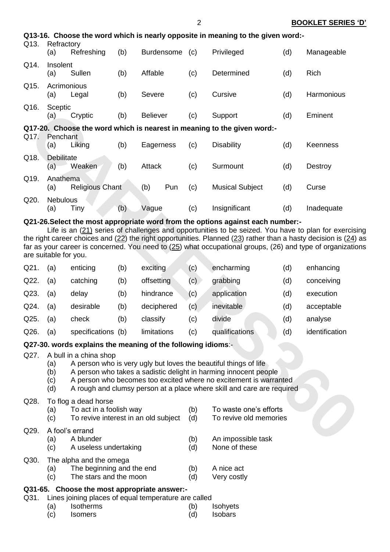| Q13. | Refractory               |                                                                                         |     |                 |            | Q13-16. Choose the word which is nearly opposite in meaning to the given word:-                                                                                                                                                                                                     |     |                 |
|------|--------------------------|-----------------------------------------------------------------------------------------|-----|-----------------|------------|-------------------------------------------------------------------------------------------------------------------------------------------------------------------------------------------------------------------------------------------------------------------------------------|-----|-----------------|
|      | (a)                      | Refreshing                                                                              | (b) | Burdensome (c)  |            | Privileged                                                                                                                                                                                                                                                                          | (d) | Manageable      |
| Q14. | Insolent<br>(a)          | Sullen                                                                                  | (b) | Affable         | (c)        | Determined                                                                                                                                                                                                                                                                          | (d) | Rich            |
| Q15. | (a)                      | Acrimonious<br>Legal                                                                    | (b) | Severe          | (c)        | Cursive                                                                                                                                                                                                                                                                             | (d) | Harmonious      |
| Q16. | Sceptic<br>(a)           | Cryptic                                                                                 | (b) | <b>Believer</b> | (c)        | Support                                                                                                                                                                                                                                                                             | (d) | Eminent         |
|      |                          |                                                                                         |     |                 |            | Q17-20. Choose the word which is nearest in meaning to the given word:-                                                                                                                                                                                                             |     |                 |
| Q17. | Penchant<br>(a)          | Liking                                                                                  | (b) | Eagerness       | (c)        | <b>Disability</b>                                                                                                                                                                                                                                                                   | (d) | <b>Keenness</b> |
| Q18. | <b>Debilitate</b><br>(a) | Weaken                                                                                  | (b) | <b>Attack</b>   | (c)        | Surmount                                                                                                                                                                                                                                                                            | (d) | Destroy         |
| Q19. | Anathema<br>(a)          | <b>Religious Chant</b>                                                                  |     | Pun<br>(b)      | (c)        | <b>Musical Subject</b>                                                                                                                                                                                                                                                              | (d) | Curse           |
| Q20. | <b>Nebulous</b><br>(a)   | <b>Tiny</b>                                                                             | (b) | Vague           | (c)        | Insignificant                                                                                                                                                                                                                                                                       | (d) | Inadequate      |
|      | are suitable for you.    |                                                                                         |     |                 |            | far as your career is concerned. You need to $(25)$ what occupational groups, (26) and type of organization                                                                                                                                                                         |     |                 |
| Q21. | (a)                      | enticing                                                                                | (b) | exciting        | (c)        | encharming                                                                                                                                                                                                                                                                          | (d) | enhancing       |
| Q22. | (a)                      | catching                                                                                | (b) | offsetting      | (c)        | grabbing                                                                                                                                                                                                                                                                            | (d) | conceiving      |
| Q23. | (a)                      | delay                                                                                   | (b) | hindrance       | (c)        | application                                                                                                                                                                                                                                                                         | (d) | execution       |
| Q24. | (a)                      | desirable                                                                               | (b) | deciphered      | (c)        | inevitable                                                                                                                                                                                                                                                                          | (d) | acceptable      |
| Q25. | (a)                      | check                                                                                   | (b) | classify        | (c)        | divide                                                                                                                                                                                                                                                                              | (d) | analyse         |
| Q26. | (a)                      | specifications (b)                                                                      |     | limitations     | (c)        | qualifications                                                                                                                                                                                                                                                                      | (d) | identification  |
|      |                          | Q27-30. words explains the meaning of the following idioms:-                            |     |                 |            |                                                                                                                                                                                                                                                                                     |     |                 |
| Q27. | (a)<br>(b)<br>(c)<br>(d) | A bull in a china shop                                                                  |     |                 |            | A person who is very ugly but loves the beautiful things of life<br>A person who takes a sadistic delight in harming innocent people<br>A person who becomes too excited where no excitement is warranted<br>A rough and clumsy person at a place where skill and care are required |     |                 |
| Q28. | (a)<br>(c)               | To flog a dead horse<br>To act in a foolish way<br>To revive interest in an old subject |     |                 | (b)<br>(d) | To waste one's efforts<br>To revive old memories                                                                                                                                                                                                                                    |     |                 |
| Q29. | (a)                      | A fool's errand<br>A blunder                                                            |     |                 | (b)        | An impossible task                                                                                                                                                                                                                                                                  |     |                 |

### **Q21-26.Select the most appropriate word from the options against each number:-**

| Q21. | (a) | enticing       | (b) | exciting    | (c) | encharming     | (d) | enhancing      |
|------|-----|----------------|-----|-------------|-----|----------------|-----|----------------|
| Q22. | (a) | catching       | (b) | offsetting  | (c) | grabbing       | (d) | conceiving     |
| Q23. | (a) | delay          | (b) | hindrance   | (c) | application    | (d) | execution      |
| Q24. | (a) | desirable      | (b) | deciphered  | (c) | inevitable     | (d) | acceptable     |
| Q25. | (a) | check          | (b) | classify    | (c) | divide         | (d) | analyse        |
| Q26. | (a) | specifications | (b) | limitations | (c) | qualifications | (d) | identification |

#### **Q27-30. words explains the meaning of the following idioms**:-

#### Q27. A bull in a china shop

- (a) A person who is very ugly but loves the beautiful things of life
- (b) A person who takes a sadistic delight in harming innocent people
- (c) A person who becomes too excited where no excitement is warranted
- (d) A rough and clumsy person at a place where skill and care are required

#### Q28. To flog a dead horse

 $Q30.$ 

| (a)<br>(c) | To act in a foolish way<br>To revive interest in an old subject | (b)<br>(d) | To waste one's efforts<br>To revive old memories |
|------------|-----------------------------------------------------------------|------------|--------------------------------------------------|
| (a)<br>(c) | A fool's errand<br>A blunder<br>A useless undertaking           | (b)<br>(d) | An impossible task<br>None of these              |
| (a)        | The alpha and the omega<br>The beginning and the end            | (b)        | A nice act                                       |

(c) The stars and the moon (d) Very costly

## **Q31-65. Choose the most appropriate answer:-**

- Q31. Lines joining places of equal temperature are called
	- (a) Isotherms (b) Isohyets (c) Isomers (d) Isobars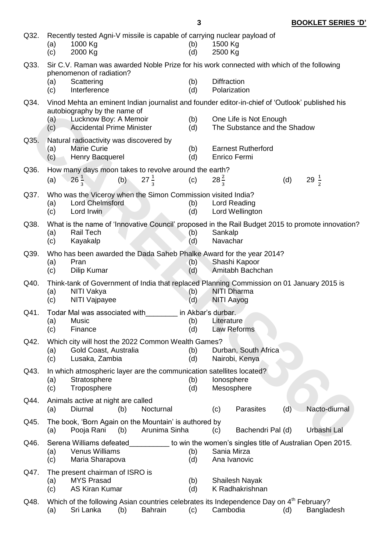| Q32. | Recently tested Agni-V missile is capable of carrying nuclear payload of<br>1000 Kg<br>1500 Kg<br>(a)<br>(b)<br>2000 Kg<br>(d)<br>2500 Kg<br>(c) |                                                                                                      |     |                 |                                  |                                           |                                                                                                                               |     |                                                                                                  |  |
|------|--------------------------------------------------------------------------------------------------------------------------------------------------|------------------------------------------------------------------------------------------------------|-----|-----------------|----------------------------------|-------------------------------------------|-------------------------------------------------------------------------------------------------------------------------------|-----|--------------------------------------------------------------------------------------------------|--|
| Q33. | (a)                                                                                                                                              | phenomenon of radiation?<br>Scattering                                                               |     |                 | (b)                              | <b>Diffraction</b>                        | Sir C.V. Raman was awarded Noble Prize for his work connected with which of the following                                     |     |                                                                                                  |  |
|      | (c)                                                                                                                                              | Interference                                                                                         |     |                 | (d)                              |                                           | Polarization                                                                                                                  |     |                                                                                                  |  |
| Q34. |                                                                                                                                                  | autobiography by the name of                                                                         |     |                 |                                  |                                           |                                                                                                                               |     | Vinod Mehta an eminent Indian journalist and founder editor-in-chief of 'Outlook' published his  |  |
|      | (a)<br>(c)                                                                                                                                       | Lucknow Boy: A Memoir<br><b>Accidental Prime Minister</b>                                            |     |                 | (b)<br>(d)                       |                                           | One Life is Not Enough<br>The Substance and the Shadow                                                                        |     |                                                                                                  |  |
| Q35. | (a)<br>(c)                                                                                                                                       | Natural radioactivity was discovered by<br><b>Marie Curie</b><br>Henry Bacquerel                     |     |                 | (b)<br>(d)                       | <b>Earnest Rutherford</b><br>Enrico Fermi |                                                                                                                               |     |                                                                                                  |  |
| Q36. |                                                                                                                                                  | How many days moon takes to revolve around the earth?                                                |     |                 |                                  |                                           |                                                                                                                               |     |                                                                                                  |  |
|      | (a)                                                                                                                                              | $26\frac{1}{3}$                                                                                      | (b) | $27\frac{1}{3}$ | (c)                              | $28\frac{2}{3}$                           |                                                                                                                               | (d) | 29 $\frac{1}{2}$                                                                                 |  |
| Q37. | (a)<br>(c)                                                                                                                                       | Who was the Viceroy when the Simon Commission visited India?<br><b>Lord Chelmsford</b><br>Lord Irwin |     |                 | (b)<br>(d)                       |                                           | Lord Reading<br>Lord Wellington                                                                                               |     |                                                                                                  |  |
| Q38. | (a)<br>(c)                                                                                                                                       | <b>Rail Tech</b><br>Kayakalp                                                                         |     |                 | (b)<br>(d)                       | Sankalp<br>Navachar                       |                                                                                                                               |     | What is the name of 'Innovative Council' proposed in the Rail Budget 2015 to promote innovation? |  |
| Q39. | (a)<br>(c)                                                                                                                                       | Pran<br>Dilip Kumar                                                                                  |     |                 | (b)<br>(d)                       |                                           | Who has been awarded the Dada Saheb Phalke Award for the year 2014?<br>Shashi Kapoor<br>Amitabh Bachchan                      |     |                                                                                                  |  |
| Q40. | (a)<br>(c)                                                                                                                                       | NITI Vakya<br>NITI Vajpayee                                                                          |     |                 | (b)<br>(d)                       |                                           | Think-tank of Government of India that replaced Planning Commission on 01 January 2015 is<br><b>NITI Dharma</b><br>NITI Aayog |     |                                                                                                  |  |
| Q41. | (a)<br>(c)                                                                                                                                       | Todar Mal was associated with<br><b>Music</b><br>Finance                                             |     |                 | in Akbar's durbar.<br>(b)<br>(d) | Literature                                | Law Reforms                                                                                                                   |     |                                                                                                  |  |
| Q42. | (a)<br>(c)                                                                                                                                       | Which city will host the 2022 Common Wealth Games?<br>Gold Coast, Australia<br>Lusaka, Zambia        |     |                 | (b)<br>(d)                       |                                           | Durban, South Africa<br>Nairobi, Kenya                                                                                        |     |                                                                                                  |  |
| Q43. | (a)<br>(c)                                                                                                                                       | In which atmospheric layer are the communication satellites located?<br>Stratosphere<br>Troposphere  |     |                 | (b)<br>(d)                       |                                           | lonosphere<br>Mesosphere                                                                                                      |     |                                                                                                  |  |
| Q44. | (a)                                                                                                                                              | Animals active at night are called<br>Diurnal                                                        | (b) | Nocturnal       |                                  | (c)                                       | Parasites                                                                                                                     | (d) | Nacto-diurnal                                                                                    |  |
| Q45. | (a)                                                                                                                                              | The book, 'Born Again on the Mountain' is authored by<br>Pooja Rani                                  | (b) | Arunima Sinha   |                                  | (c)                                       | Bachendri Pal (d)                                                                                                             |     | Urbashi Lal                                                                                      |  |
| Q46. | (a)<br>(c)                                                                                                                                       | Serena Williams defeated<br><b>Venus Williams</b><br>Maria Sharapova                                 |     |                 | (b)<br>(d)                       |                                           | Sania Mirza<br>Ana Ivanovic                                                                                                   |     | to win the women's singles title of Australian Open 2015.                                        |  |
| Q47. | (a)<br>(c)                                                                                                                                       | The present chairman of ISRO is<br><b>MYS Prasad</b><br><b>AS Kiran Kumar</b>                        |     |                 | (b)<br>(d)                       |                                           | <b>Shailesh Nayak</b><br>K Radhakrishnan                                                                                      |     |                                                                                                  |  |
| Q48. | (a)                                                                                                                                              | Sri Lanka                                                                                            | (b) | <b>Bahrain</b>  | (c)                              | Cambodia                                  | Which of the following Asian countries celebrates its Independence Day on 4 <sup>th</sup> February?                           | (d) | Bangladesh                                                                                       |  |

# **3 BOOKLET SERIES 'D'**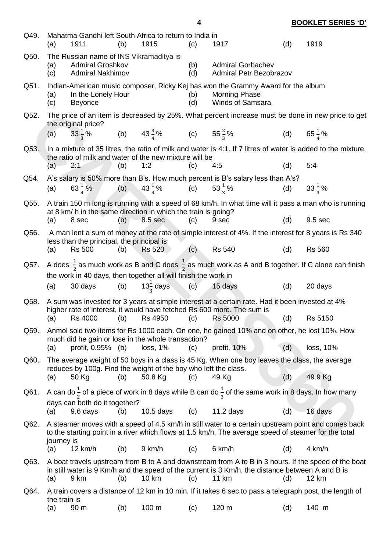| Q49. | (a)          | 1911                                                                                          | (b) | Mahatma Gandhi left South Africa to return to India in<br>1915           | (c)        | 1917                                                                                                                                                                                                             | (d) | 1919                  |
|------|--------------|-----------------------------------------------------------------------------------------------|-----|--------------------------------------------------------------------------|------------|------------------------------------------------------------------------------------------------------------------------------------------------------------------------------------------------------------------|-----|-----------------------|
| Q50. | (a)<br>(c)   | The Russian name of INS Vikramaditya is<br><b>Admiral Groshkov</b><br><b>Admiral Nakhimov</b> |     |                                                                          | (b)<br>(d) | <b>Admiral Gorbachev</b><br><b>Admiral Petr Bezobrazov</b>                                                                                                                                                       |     |                       |
| Q51. | (a)<br>(c)   | In the Lonely Hour<br><b>Beyonce</b>                                                          |     |                                                                          | (b)<br>(d) | Indian-American music composer, Ricky Kej has won the Grammy Award for the album<br><b>Morning Phase</b><br><b>Winds of Samsara</b>                                                                              |     |                       |
| Q52. |              | the original price?                                                                           |     |                                                                          |            | The price of an item is decreased by 25%. What percent increase must be done in new price to get                                                                                                                 |     |                       |
|      | (a)          | $33\frac{1}{3}\%$                                                                             |     | (b) $43\frac{3}{4}\%$ (c) $55\frac{2}{3}\%$                              |            |                                                                                                                                                                                                                  |     | (d) $65\frac{1}{4}\%$ |
| Q53. | (a)          | 2:1                                                                                           | (b) | the ratio of milk and water of the new mixture will be<br>1:2            | (c)        | In a mixture of 35 litres, the ratio of milk and water is 4:1. If 7 litres of water is added to the mixture,<br>4:5                                                                                              | (d) | 5:4                   |
| Q54. |              |                                                                                               |     |                                                                          |            | A's salary is 50% more than B's. How much percent is B's salary less than A's?                                                                                                                                   |     |                       |
|      | (a)          | $63\frac{1}{4}\%$                                                                             |     | (b) $43\frac{1}{4}\%$ (c) $53\frac{1}{3}\%$                              |            |                                                                                                                                                                                                                  | (d) | $33\frac{1}{2}\%$     |
| Q55. |              |                                                                                               |     |                                                                          |            | A train 150 m long is running with a speed of 68 km/h. In what time will it pass a man who is running                                                                                                            |     |                       |
|      | (a)          | 8 sec                                                                                         | (b) | at 8 km/ h in the same direction in which the train is going?<br>8.5 sec | (c)        | 9 sec                                                                                                                                                                                                            | (d) | 9.5 sec               |
| Q56. |              |                                                                                               |     |                                                                          |            | A man lent a sum of money at the rate of simple interest of 4%. If the interest for 8 years is Rs 340                                                                                                            |     |                       |
|      | (a)          | less than the principal, the principal is<br><b>Rs 500</b>                                    | (b) | Rs 520                                                                   | (c)        | <b>Rs 540</b>                                                                                                                                                                                                    | (d) | <b>Rs 560</b>         |
| Q57. |              |                                                                                               |     | the work in 40 days, then together all will finish the work in           |            | A does $\frac{1}{2}$ as much work as B and C does $\frac{1}{2}$ as much work as A and B together. If C alone can finish                                                                                          |     |                       |
|      | (a)          |                                                                                               |     |                                                                          |            | 30 days (b) $13\frac{1}{3}$ days (c) 15 days                                                                                                                                                                     | (d) | 20 days               |
| Q58. |              |                                                                                               |     |                                                                          |            | A sum was invested for 3 years at simple interest at a certain rate. Had it been invested at 4%<br>higher rate of interest, it would have fetched Rs 600 more. The sum is                                        |     |                       |
|      | (a)          | <b>Rs 4000</b>                                                                                | (b) | Rs 4950                                                                  | (c)        | <b>Rs 5000</b>                                                                                                                                                                                                   | (d) | Rs 5150               |
| Q59. |              |                                                                                               |     | much did he gain or lose in the whole transaction?                       |            | Anmol sold two items for Rs 1000 each. On one, he gained 10% and on other, he lost 10%. How                                                                                                                      |     |                       |
|      | (a)          | profit, 0.95% (b)                                                                             |     | loss, 1%                                                                 | (c)        | profit, 10%                                                                                                                                                                                                      | (d) | loss, 10%             |
| Q60. |              |                                                                                               |     | reduces by 100g. Find the weight of the boy who left the class.          |            | The average weight of 50 boys in a class is 45 Kg. When one boy leaves the class, the average                                                                                                                    |     |                       |
|      | (a)          | 50 Kg                                                                                         | (b) | 50.8 Kg                                                                  | (c)        | 49 Kg                                                                                                                                                                                                            | (d) | 49.9 Kg               |
| Q61. |              |                                                                                               |     |                                                                          |            | A can do $\frac{1}{2}$ of a piece of work in 8 days while B can do $\frac{1}{2}$ of the same work in 8 days. In how many                                                                                         |     |                       |
|      | (a)          | days can both do it together?<br>9.6 days                                                     | (b) | $10.5$ days                                                              | (c)        | $11.2$ days                                                                                                                                                                                                      | (d) | 16 days               |
| Q62. | journey is   |                                                                                               |     |                                                                          |            | A steamer moves with a speed of 4.5 km/h in still water to a certain upstream point and comes back<br>to the starting point in a river which flows at 1.5 km/h. The average speed of steamer for the total       |     |                       |
|      | (a)          | 12 km/h                                                                                       | (b) | 9 km/h                                                                   | (c)        | 6 km/h                                                                                                                                                                                                           | (d) | 4 km/h                |
| Q63. | (a)          | 9 km                                                                                          | (b) | 10 km                                                                    | (c)        | A boat travels upstream from B to A and downstream from A to B in 3 hours. If the speed of the boat<br>in still water is 9 Km/h and the speed of the current is 3 Km/h, the distance between A and B is<br>11 km | (d) | 12 km                 |
| Q64. | the train is |                                                                                               |     |                                                                          |            | A train covers a distance of 12 km in 10 min. If it takes 6 sec to pass a telegraph post, the length of                                                                                                          |     |                       |
|      | (a)          | 90 m                                                                                          | (b) | 100 m                                                                    | (c)        | 120 m                                                                                                                                                                                                            | (d) | 140 m                 |

**4 BOOKLET SERIES 'D'**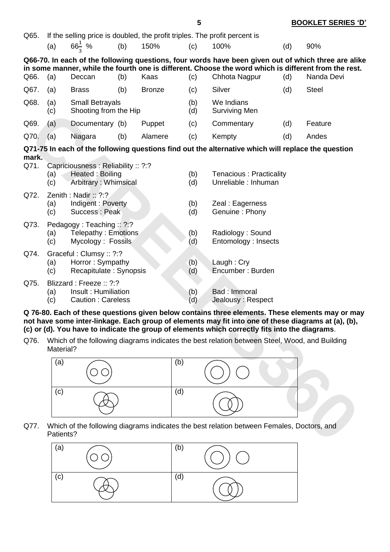|               |                                                                                                                                  |                                                                                 |     |               |     | 5          |                                                                                                                                                                                                       |     | <b>BOOKLET SERIES 'D'</b>                                                                                         |
|---------------|----------------------------------------------------------------------------------------------------------------------------------|---------------------------------------------------------------------------------|-----|---------------|-----|------------|-------------------------------------------------------------------------------------------------------------------------------------------------------------------------------------------------------|-----|-------------------------------------------------------------------------------------------------------------------|
| Q65.          |                                                                                                                                  |                                                                                 |     |               |     |            | If the selling price is doubled, the profit triples. The profit percent is                                                                                                                            |     |                                                                                                                   |
|               | (a)                                                                                                                              | $66\frac{1}{2}$ %                                                               | (b) | 150%          |     | (c)        | 100%                                                                                                                                                                                                  | (d) | 90%                                                                                                               |
| Q66.          | (a)                                                                                                                              | Deccan                                                                          | (b) | Kaas          |     | (c)        | in some manner, while the fourth one is different. Choose the word which is different from the rest.<br>Chhota Nagpur                                                                                 | (d) | Q66-70. In each of the following questions, four words have been given out of which three are alike<br>Nanda Devi |
| Q67.          | (a)                                                                                                                              | <b>Brass</b>                                                                    | (b) | <b>Bronze</b> |     | (c)        | Silver                                                                                                                                                                                                | (d) | <b>Steel</b>                                                                                                      |
| Q68.          | (a)<br>(c)                                                                                                                       | <b>Small Betrayals</b><br>Shooting from the Hip                                 |     |               |     | (b)<br>(d) | We Indians<br><b>Surviving Men</b>                                                                                                                                                                    |     |                                                                                                                   |
| Q69.          | (a)                                                                                                                              | Documentary (b)                                                                 |     | Puppet        |     | (c)        | Commentary                                                                                                                                                                                            | (d) | Feature                                                                                                           |
| Q70.          | (a)                                                                                                                              | Niagara                                                                         | (b) | Alamere       |     | (c)        | Kempty                                                                                                                                                                                                | (d) | Andes                                                                                                             |
|               |                                                                                                                                  |                                                                                 |     |               |     |            | Q71-75 In each of the following questions find out the alternative which will replace the question                                                                                                    |     |                                                                                                                   |
| mark.<br>Q71. | (a)<br>(c)                                                                                                                       | Capriciousness : Reliability :: ?:?<br>Heated : Boiling<br>Arbitrary: Whimsical |     |               |     | (b)<br>(d) | Tenacious: Practicality<br>Unreliable : Inhuman                                                                                                                                                       |     |                                                                                                                   |
| Q72.          | Zenith: Nadir: ?:?<br>Indigent: Poverty<br>(b)<br>Zeal: Eagerness<br>(a)<br><b>Success: Peak</b><br>(c)<br>(d)<br>Genuine: Phony |                                                                                 |     |               |     |            |                                                                                                                                                                                                       |     |                                                                                                                   |
| Q73.          | (a)<br>(c)                                                                                                                       | Pedagogy: Teaching: ?:?<br>Telepathy: Emotions<br>Mycology: Fossils             |     |               |     | (b)<br>(d) | Radiology: Sound<br>Entomology: Insects                                                                                                                                                               |     |                                                                                                                   |
| Q74.          | (a)<br>(c)                                                                                                                       | Graceful: Clumsy: : ?:?<br>Horror: Sympathy<br>Recapitulate: Synopsis           |     |               |     | (b)<br>(d) | Laugh: Cry<br>Encumber: Burden                                                                                                                                                                        |     |                                                                                                                   |
| Q75.          | (a)<br>(c)                                                                                                                       | Blizzard: Freeze: ?:?<br>Insult: Humiliation<br><b>Caution: Careless</b>        |     |               |     | (b)<br>(d) | Bad: Immoral<br>Jealousy: Respect                                                                                                                                                                     |     |                                                                                                                   |
|               |                                                                                                                                  |                                                                                 |     |               |     |            | not have some inter-linkage. Each group of elements may fit into one of these diagrams at (a), (b),<br>(c) or (d). You have to indicate the group of elements which correctly fits into the diagrams. |     | Q 76-80. Each of these questions given below contains three elements. These elements may or may                   |
| Q76.          | Material?                                                                                                                        |                                                                                 |     |               |     |            | Which of the following diagrams indicates the best relation between Steel, Wood, and Building                                                                                                         |     |                                                                                                                   |
|               | (a)                                                                                                                              |                                                                                 |     |               | (b) |            |                                                                                                                                                                                                       |     |                                                                                                                   |
|               | (c)                                                                                                                              |                                                                                 |     |               | (d) |            |                                                                                                                                                                                                       |     |                                                                                                                   |
| Q77.          | Patients?                                                                                                                        |                                                                                 |     |               |     |            | Which of the following diagrams indicates the best relation between Females, Doctors, and                                                                                                             |     |                                                                                                                   |



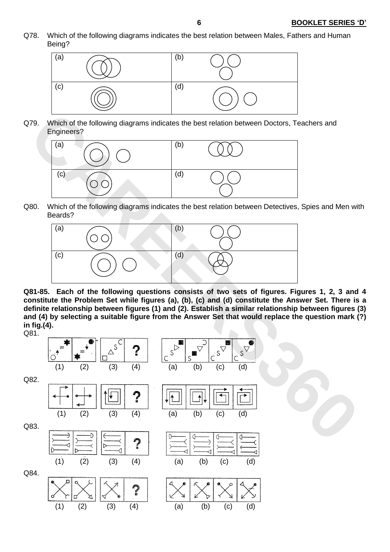Q78. Which of the following diagrams indicates the best relation between Males, Fathers and Human Being?



Q79. Which of the following diagrams indicates the best relation between Doctors, Teachers and Engineers?



Q80. Which of the following diagrams indicates the best relation between Detectives, Spies and Men with Beards?



**Q81-85. Each of the following questions consists of two sets of figures. Figures 1, 2, 3 and 4 constitute the Problem Set while figures (a), (b), (c) and (d) constitute the Answer Set. There is a definite relationship between figures (1) and (2). Establish a similar relationship between figures (3) and (4) by selecting a suitable figure from the Answer Set that would replace the question mark (?) in fig.(4).**

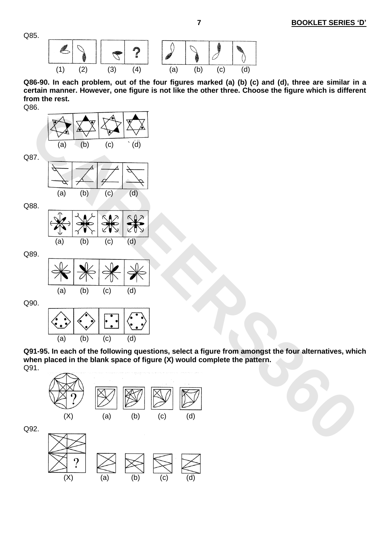Q85.



**Q86-90. In each problem, out of the four figures marked (a) (b) (c) and (d), three are similar in a certain manner. However, one figure is not like the other three. Choose the figure which is different from the rest.**



Q90.



(a) (b) (c) (d)

**Q91-95. In each of the following questions, select a figure from amongst the four alternatives, which when placed in the blank space of figure (X) would complete the pattern.**